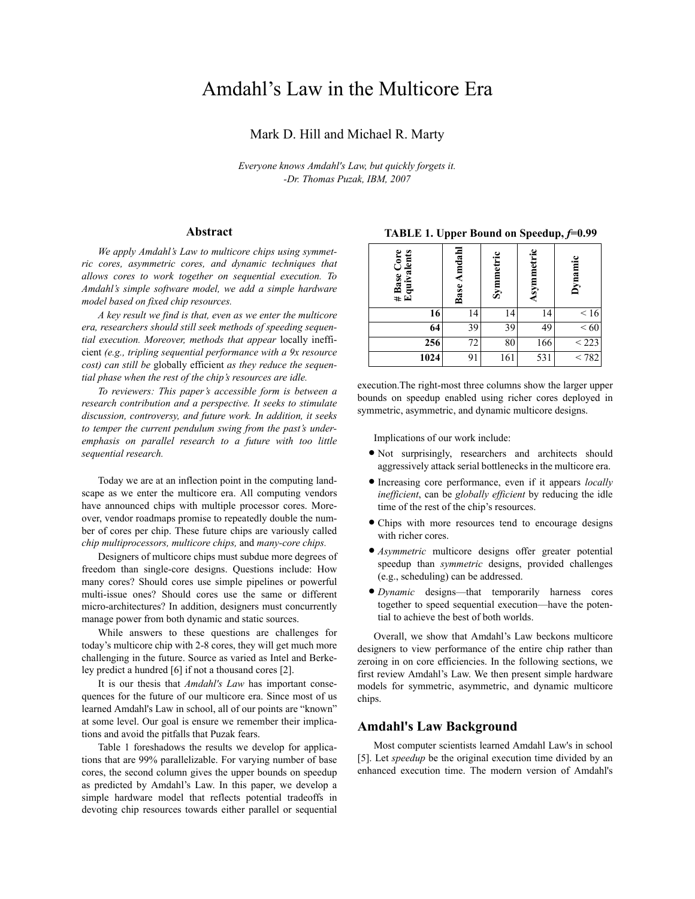# Amdahl's Law in the Multicore Era

# Mark D. Hill and Michael R. Marty

*Everyone knows Amdahl's Law, but quickly forgets it. -Dr. Thomas Puzak, IBM, 2007*

## **Abstract**

*We apply Amdahl's Law to multicore chips using symmetric cores, asymmetric cores, and dynamic techniques that allows cores to work together on sequential execution. To Amdahl's simple software model, we add a simple hardware model based on fixed chip resources.*

*A key result we find is that, even as we enter the multicore era, researchers should still seek methods of speeding sequential execution. Moreover, methods that appear* locally inefficient *(e.g., tripling sequential performance with a 9x resource cost) can still be* globally efficient *as they reduce the sequential phase when the rest of the chip's resources are idle.*

*To reviewers: This paper's accessible form is between a research contribution and a perspective. It seeks to stimulate discussion, controversy, and future work. In addition, it seeks to temper the current pendulum swing from the past's underemphasis on parallel research to a future with too little sequential research.*

Today we are at an inflection point in the computing landscape as we enter the multicore era. All computing vendors have announced chips with multiple processor cores. Moreover, vendor roadmaps promise to repeatedly double the number of cores per chip. These future chips are variously called *chip multiprocessors, multicore chips,* and *many-core chips.*

Designers of multicore chips must subdue more degrees of freedom than single-core designs. Questions include: How many cores? Should cores use simple pipelines or powerful multi-issue ones? Should cores use the same or different micro-architectures? In addition, designers must concurrently manage power from both dynamic and static sources.

While answers to these questions are challenges for today's multicore chip with 2-8 cores, they will get much more challenging in the future. Source as varied as Intel and Berkeley predict a hundred [6] if not a thousand cores [2].

It is our thesis that *Amdahl's Law* has important consequences for the future of our multicore era. Since most of us learned Amdahl's Law in school, all of our points are "known" at some level. Our goal is ensure we remember their implications and avoid the pitfalls that Puzak fears.

Table 1 foreshadows the results we develop for applications that are 99% parallelizable. For varying number of base cores, the second column gives the upper bounds on speedup as predicted by Amdahl's Law. In this paper, we develop a simple hardware model that reflects potential tradeoffs in devoting chip resources towards either parallel or sequential

| Core<br>lents<br># Base (<br>Equival | <b>Base Amdahl</b> | etric<br>Sym | Asymmetric | Dynamic |
|--------------------------------------|--------------------|--------------|------------|---------|
| 16                                   | 14                 | 14           | 14         | < 16    |
| 64                                   | 39                 | 39           | 49         | < 60    |
| 256                                  | 72                 | 80           | 166        | < 223   |
| 1024                                 | 91                 | 161          | 531        | < 782   |

**TABLE 1. Upper Bound on Speedup,** *f***=0.99**

execution.The right-most three columns show the larger upper bounds on speedup enabled using richer cores deployed in symmetric, asymmetric, and dynamic multicore designs.

Implications of our work include:

- **•** Not surprisingly, researchers and architects should aggressively attack serial bottlenecks in the multicore era.
- **•**Increasing core performance, even if it appears *locally inefficient*, can be *globally efficient* by reducing the idle time of the rest of the chip's resources.
- **•** Chips with more resources tend to encourage designs with richer cores.
- **•** *Asymmetric* multicore designs offer greater potential speedup than *symmetric* designs, provided challenges (e.g., scheduling) can be addressed.
- **•** *Dynamic* designs—that temporarily harness cores together to speed sequential execution—have the potential to achieve the best of both worlds.

Overall, we show that Amdahl's Law beckons multicore designers to view performance of the entire chip rather than zeroing in on core efficiencies. In the following sections, we first review Amdahl's Law. We then present simple hardware models for symmetric, asymmetric, and dynamic multicore chips.

## **Amdahl's Law Background**

Most computer scientists learned Amdahl Law's in school [5]. Let *speedup* be the original execution time divided by an enhanced execution time. The modern version of Amdahl's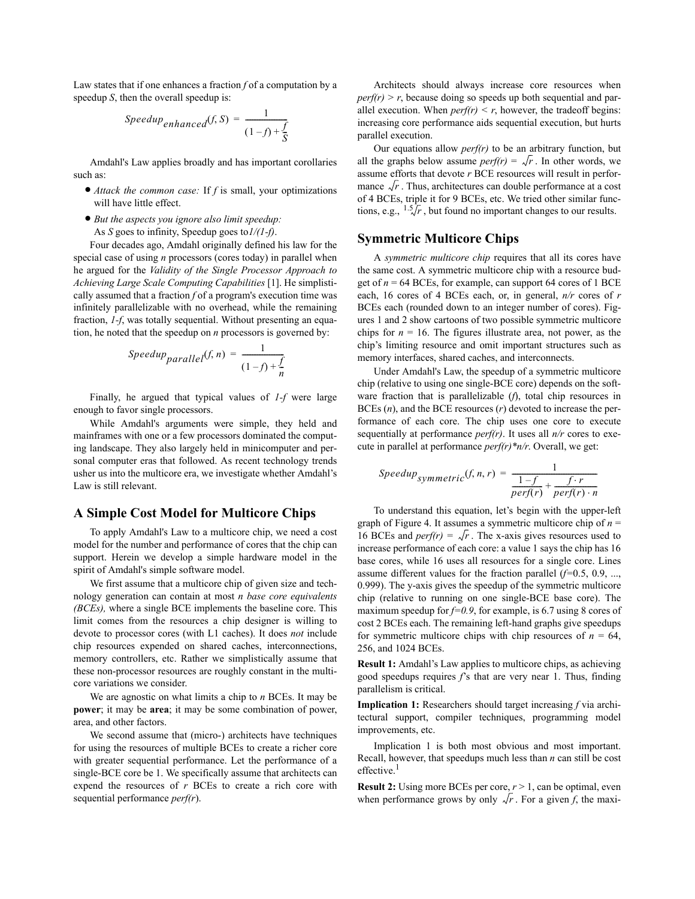Law states that if one enhances a fraction *f* of a computation by a speedup *S*, then the overall speedup is:

$$
Speedup_{enhanced}(f, S) = \frac{1}{(1 - f) + \frac{f}{S}}
$$

Amdahl's Law applies broadly and has important corollaries such as:

- **•** *Attack the common case:* If *f* is small, your optimizations will have little effect.
- **•** *But the aspects you ignore also limit speedup:*
	- As *S* goes to infinity, Speedup goes to*1/(1-f)*.

Four decades ago, Amdahl originally defined his law for the special case of using *n* processors (cores today) in parallel when he argued for the *Validity of the Single Processor Approach to Achieving Large Scale Computing Capabilities* [1]. He simplistically assumed that a fraction *f* of a program's execution time was infinitely parallelizable with no overhead, while the remaining fraction, *1-f*, was totally sequential. Without presenting an equation, he noted that the speedup on *n* processors is governed by:

$$
Speedup_{parallel}(f, n) = \frac{1}{(1 - f) + \frac{f}{n}}
$$

Finally, he argued that typical values of *1-f* were large enough to favor single processors.

While Amdahl's arguments were simple, they held and mainframes with one or a few processors dominated the computing landscape. They also largely held in minicomputer and personal computer eras that followed. As recent technology trends usher us into the multicore era, we investigate whether Amdahl's Law is still relevant.

# **A Simple Cost Model for Multicore Chips**

To apply Amdahl's Law to a multicore chip, we need a cost model for the number and performance of cores that the chip can support. Herein we develop a simple hardware model in the spirit of Amdahl's simple software model.

We first assume that a multicore chip of given size and technology generation can contain at most *n base core equivalents (BCEs),* where a single BCE implements the baseline core. This limit comes from the resources a chip designer is willing to devote to processor cores (with L1 caches). It does *not* include chip resources expended on shared caches, interconnections, memory controllers, etc. Rather we simplistically assume that these non-processor resources are roughly constant in the multicore variations we consider.

We are agnostic on what limits a chip to *n* BCEs. It may be **power**; it may be **area**; it may be some combination of power, area, and other factors.

We second assume that (micro-) architects have techniques for using the resources of multiple BCEs to create a richer core with greater sequential performance. Let the performance of a single-BCE core be 1. We specifically assume that architects can expend the resources of *r* BCEs to create a rich core with sequential performance *perf(r*).

Architects should always increase core resources when  $perf(r)$  > r, because doing so speeds up both sequential and parallel execution. When  $\text{perf}(r) < r$ , however, the tradeoff begins: increasing core performance aids sequential execution, but hurts parallel execution.

Our equations allow *perf(r)* to be an arbitrary function, but all the graphs below assume *perf(r)* =  $\sqrt{r}$ . In other words, we assume efforts that devote *r* BCE resources will result in performance  $\sqrt{r}$ . Thus, architectures can double performance at a cost of 4 BCEs, triple it for 9 BCEs, etc. We tried other similar functions, e.g.,  $1.5\sqrt{r}$ , but found no important changes to our results.

# **Symmetric Multicore Chips**

A *symmetric multicore chip* requires that all its cores have the same cost. A symmetric multicore chip with a resource budget of  $n = 64$  BCEs, for example, can support 64 cores of 1 BCE each, 16 cores of 4 BCEs each, or, in general, *n/r* cores of *r* BCEs each (rounded down to an integer number of cores). Figures 1 and 2 show cartoons of two possible symmetric multicore chips for  $n = 16$ . The figures illustrate area, not power, as the chip's limiting resource and omit important structures such as memory interfaces, shared caches, and interconnects.

Under Amdahl's Law, the speedup of a symmetric multicore chip (relative to using one single-BCE core) depends on the software fraction that is parallelizable (*f*), total chip resources in BCEs (*n*), and the BCE resources (*r*) devoted to increase the performance of each core. The chip uses one core to execute sequentially at performance *perf(r)*. It uses all *n/r* cores to execute in parallel at performance *perf(r)\*n/r*. Overall, we get:

$$
Speedup_{symmetric}(f, n, r) = \frac{1}{\frac{1 - f}{\text{perf}(r)} + \frac{f \cdot r}{\text{perf}(r) \cdot n}}
$$

To understand this equation, let's begin with the upper-left graph of Figure 4. It assumes a symmetric multicore chip of *n* = 16 BCEs and *perf(r)* =  $\sqrt{r}$ . The x-axis gives resources used to increase performance of each core: a value 1 says the chip has 16 base cores, while 16 uses all resources for a single core. Lines assume different values for the fraction parallel (*f=*0.5, 0.9, ..., 0.999). The y-axis gives the speedup of the symmetric multicore chip (relative to running on one single-BCE base core). The maximum speedup for  $f=0.9$ , for example, is 6.7 using 8 cores of cost 2 BCEs each. The remaining left-hand graphs give speedups for symmetric multicore chips with chip resources of  $n = 64$ , 256, and 1024 BCEs.

**Result 1:** Amdahl's Law applies to multicore chips, as achieving good speedups requires *f*'s that are very near 1. Thus, finding parallelism is critical.

**Implication 1:** Researchers should target increasing *f* via architectural support, compiler techniques, programming model improvements, etc.

Implication 1 is both most obvious and most important. Recall, however, that speedups much less than *n* can still be cost effective.<sup>1</sup>

**Result 2:** Using more BCEs per core,  $r > 1$ , can be optimal, even when performance grows by only  $\sqrt{r}$ . For a given *f*, the maxi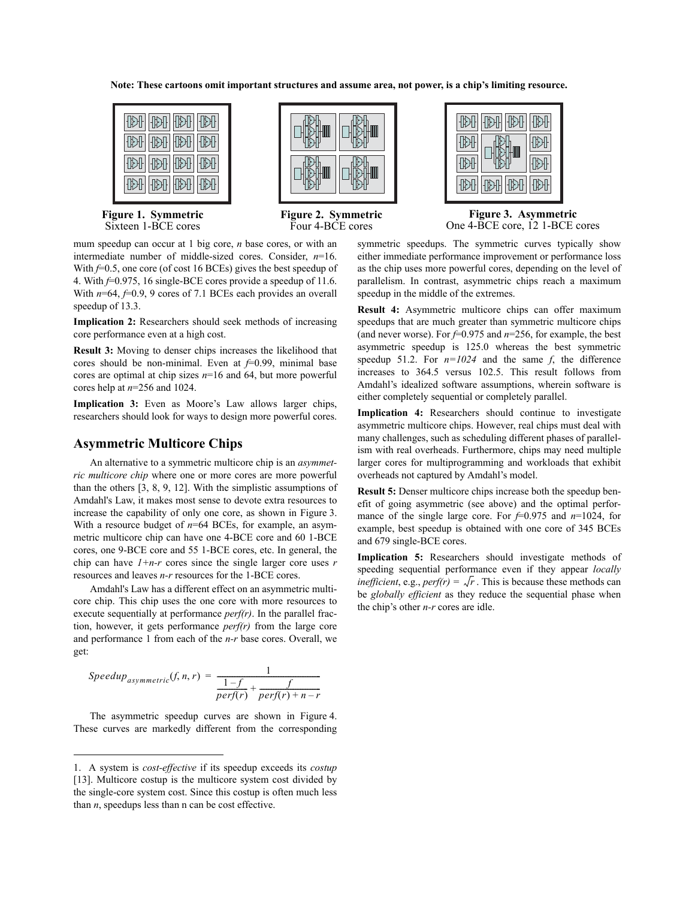**Note: These cartoons omit important structures and assume area, not power, is a chip's limiting resource.**

|  | $\frac{1}{\left \mathbb{E}\right \left \mathbb{E}\right }\left \mathbb{E}\right \left \mathbb{E}\right \left \mathbb{E}\right \left \mathbb{E}\right $                                                                                 |  |
|--|----------------------------------------------------------------------------------------------------------------------------------------------------------------------------------------------------------------------------------------|--|
|  | $\frac{1}{\left \mathbb{R} \mathbb{I} \right  \left \mathbb{R} \mathbb{I} \right  \left \mathbb{R} \mathbb{I} \right }{\left \mathbb{R} \mathbb{I} \right  \left \mathbb{R} \mathbb{I} \right }$                                       |  |
|  | $\frac{1}{\left \left[\mathbb{R}\right]\right \left \left[\mathbb{R}\right]\right \left \left[\mathbb{R}\right]\right \left \left[\mathbb{R}\right]\right }{\left \left[\mathbb{R}\right]\right \left \left[\mathbb{R}\right]\right }$ |  |
|  | $\frac{1}{\left \mathbb{E}\right \left \mathbb{E}\right }\left \mathbb{E}\right \left \mathbb{E}\right \left \mathbb{E}\right $                                                                                                        |  |

**Figure 1. Symmetric** Sixteen 1-BCE cores



**Figure 2. Symmetric** Four 4-BCE cores

mum speedup can occur at 1 big core, *n* base cores, or with an intermediate number of middle-sized cores. Consider, *n*=16. With  $f=0.5$ , one core (of cost 16 BCEs) gives the best speedup of 4. With *f*=0.975, 16 single-BCE cores provide a speedup of 11.6. With  $n=64$ ,  $f=0.9$ , 9 cores of 7.1 BCEs each provides an overall speedup of 13.3.

**Implication 2:** Researchers should seek methods of increasing core performance even at a high cost.

**Result 3:** Moving to denser chips increases the likelihood that cores should be non-minimal. Even at *f*=0.99, minimal base cores are optimal at chip sizes *n*=16 and 64, but more powerful cores help at *n*=256 and 1024.

**Implication 3:** Even as Moore's Law allows larger chips, researchers should look for ways to design more powerful cores.

# **Asymmetric Multicore Chips**

An alternative to a symmetric multicore chip is an *asymmetric multicore chip* where one or more cores are more powerful than the others [3, 8, 9, 12]. With the simplistic assumptions of Amdahl's Law, it makes most sense to devote extra resources to increase the capability of only one core, as shown in Figure 3. With a resource budget of  $n=64$  BCEs, for example, an asymmetric multicore chip can have one 4-BCE core and 60 1-BCE cores, one 9-BCE core and 55 1-BCE cores, etc. In general, the chip can have  $1+n-r$  cores since the single larger core uses  $r$ resources and leaves *n-r* resources for the 1-BCE cores.

Amdahl's Law has a different effect on an asymmetric multicore chip. This chip uses the one core with more resources to execute sequentially at performance *perf(r)*. In the parallel fraction, however, it gets performance *perf(r)* from the large core and performance 1 from each of the *n-r* base cores. Overall, we get:

$$
Speedup_{asymmetric}(f, n, r) = \frac{1}{\frac{1 - f}{perf(r)} + \frac{f}{perf(r) + n - r}}
$$

The asymmetric speedup curves are shown in Figure 4. These curves are markedly different from the corresponding



**Figure 3. Asymmetric** One 4-BCE core, 12 1-BCE cores

symmetric speedups. The symmetric curves typically show either immediate performance improvement or performance loss as the chip uses more powerful cores, depending on the level of parallelism. In contrast, asymmetric chips reach a maximum speedup in the middle of the extremes.

**Result 4:** Asymmetric multicore chips can offer maximum speedups that are much greater than symmetric multicore chips (and never worse). For  $f=0.975$  and  $n=256$ , for example, the best asymmetric speedup is 125.0 whereas the best symmetric speedup 51.2. For  $n=1024$  and the same *f*, the difference increases to 364.5 versus 102.5. This result follows from Amdahl's idealized software assumptions, wherein software is either completely sequential or completely parallel.

**Implication 4:** Researchers should continue to investigate asymmetric multicore chips. However, real chips must deal with many challenges, such as scheduling different phases of parallelism with real overheads. Furthermore, chips may need multiple larger cores for multiprogramming and workloads that exhibit overheads not captured by Amdahl's model.

**Result 5:** Denser multicore chips increase both the speedup benefit of going asymmetric (see above) and the optimal performance of the single large core. For  $f=0.975$  and  $n=1024$ , for example, best speedup is obtained with one core of 345 BCEs and 679 single-BCE cores.

**Implication 5:** Researchers should investigate methods of speeding sequential performance even if they appear *locally inefficient*, e.g., *perf(r)* =  $\sqrt{r}$ . This is because these methods can be *globally efficient* as they reduce the sequential phase when the chip's other *n-r* cores are idle.

<sup>1.</sup> A system is *cost-effective* if its speedup exceeds its *costup* [13]. Multicore costup is the multicore system cost divided by the single-core system cost. Since this costup is often much less than *n*, speedups less than n can be cost effective.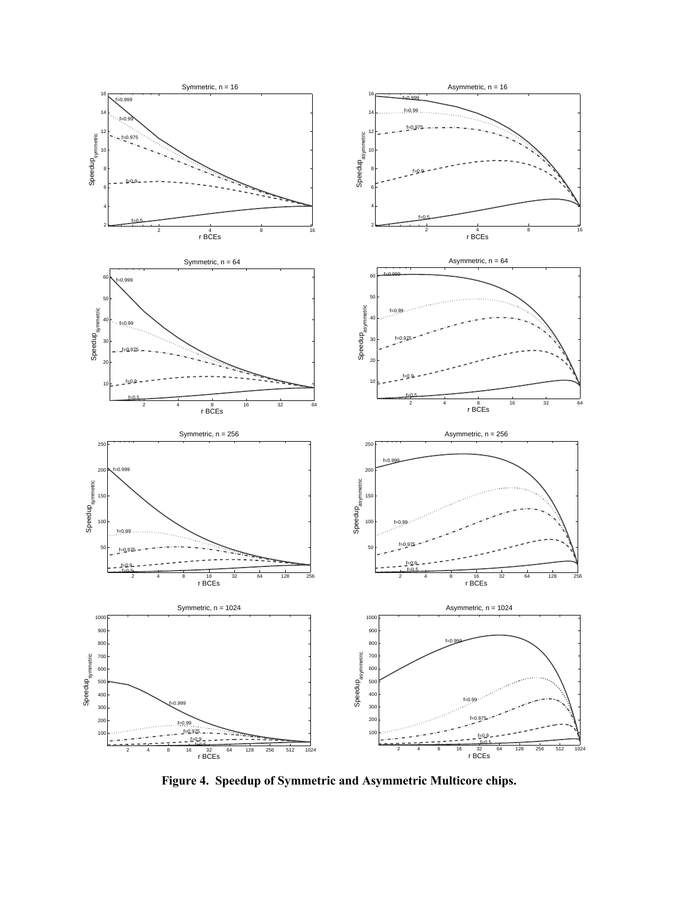

**Figure 4. Speedup of Symmetric and Asymmetric Multicore chips.**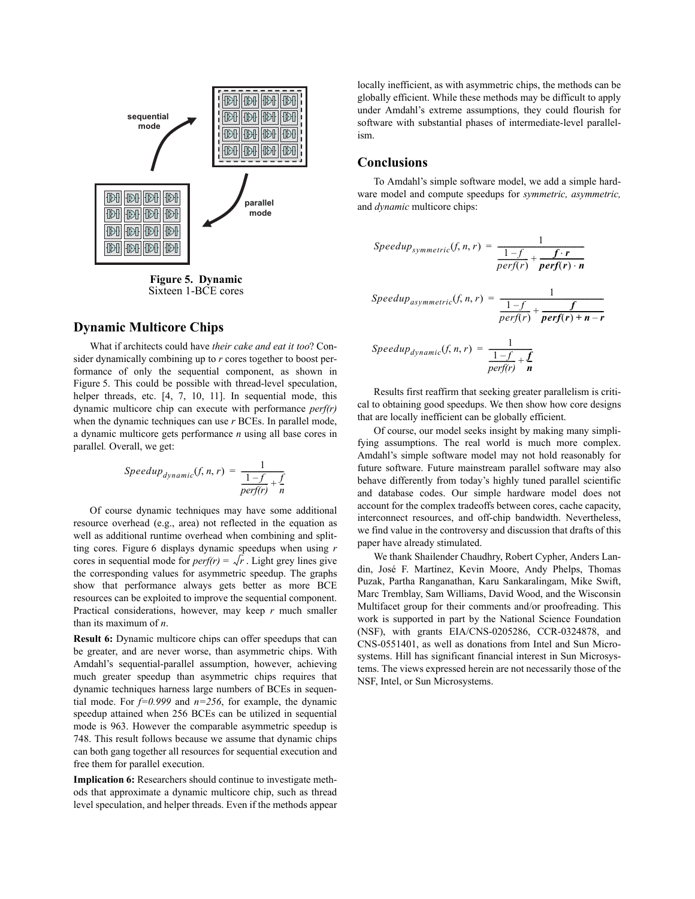

Sixteen 1-BCE cores

# **Dynamic Multicore Chips**

What if architects could have *their cake and eat it too*? Consider dynamically combining up to *r* cores together to boost performance of only the sequential component, as shown in Figure 5. This could be possible with thread-level speculation, helper threads, etc. [4, 7, 10, 11]. In sequential mode, this dynamic multicore chip can execute with performance *perf(r)* when the dynamic techniques can use *r* BCEs. In parallel mode, a dynamic multicore gets performance *n* using all base cores in parallel*.* Overall, we get:

$$
Speedup_{dynamic}(f, n, r) = \frac{1}{\frac{1 - f}{\text{perf}(r)} + \frac{f}{n}}
$$

Of course dynamic techniques may have some additional resource overhead (e.g., area) not reflected in the equation as well as additional runtime overhead when combining and splitting cores. Figure 6 displays dynamic speedups when using *r* cores in sequential mode for  $perf(r) = \sqrt{r}$ . Light grey lines give the corresponding values for asymmetric speedup. The graphs show that performance always gets better as more BCE resources can be exploited to improve the sequential component. Practical considerations, however, may keep *r* much smaller than its maximum of *n*.

**Result 6:** Dynamic multicore chips can offer speedups that can be greater, and are never worse, than asymmetric chips. With Amdahl's sequential-parallel assumption, however, achieving much greater speedup than asymmetric chips requires that dynamic techniques harness large numbers of BCEs in sequential mode. For  $f=0.999$  and  $n=256$ , for example, the dynamic speedup attained when 256 BCEs can be utilized in sequential mode is 963. However the comparable asymmetric speedup is 748. This result follows because we assume that dynamic chips can both gang together all resources for sequential execution and free them for parallel execution.

**Implication 6:** Researchers should continue to investigate methods that approximate a dynamic multicore chip, such as thread level speculation, and helper threads. Even if the methods appear locally inefficient, as with asymmetric chips, the methods can be globally efficient. While these methods may be difficult to apply under Amdahl's extreme assumptions, they could flourish for software with substantial phases of intermediate-level parallelism.

### **Conclusions**

To Amdahl's simple software model, we add a simple hardware model and compute speedups for *symmetric, asymmetric,* and *dynamic* multicore chips:

$$
Speedup_{symmetric}(f, n, r) = \frac{1}{\frac{1 - f}{\text{perf}(r)} + \frac{f \cdot r}{\text{perf}(r) \cdot n}}
$$
\n
$$
Speedup_{asymmetric}(f, n, r) = \frac{1}{\frac{1 - f}{\text{perf}(r)} + \frac{f}{\text{perf}(r) + n - r}}
$$
\n
$$
Speedup_{dynamic}(f, n, r) = \frac{1}{\frac{1 - f}{\text{perf}(r)} + \frac{f}{n}}
$$

Results first reaffirm that seeking greater parallelism is critical to obtaining good speedups. We then show how core designs that are locally inefficient can be globally efficient.

Of course, our model seeks insight by making many simplifying assumptions. The real world is much more complex. Amdahl's simple software model may not hold reasonably for future software. Future mainstream parallel software may also behave differently from today's highly tuned parallel scientific and database codes. Our simple hardware model does not account for the complex tradeoffs between cores, cache capacity, interconnect resources, and off-chip bandwidth. Nevertheless, we find value in the controversy and discussion that drafts of this paper have already stimulated.

We thank Shailender Chaudhry, Robert Cypher, Anders Landin, José F. Martínez, Kevin Moore, Andy Phelps, Thomas Puzak, Partha Ranganathan, Karu Sankaralingam, Mike Swift, Marc Tremblay, Sam Williams, David Wood, and the Wisconsin Multifacet group for their comments and/or proofreading. This work is supported in part by the National Science Foundation (NSF), with grants EIA/CNS-0205286, CCR-0324878, and CNS-0551401, as well as donations from Intel and Sun Microsystems. Hill has significant financial interest in Sun Microsystems. The views expressed herein are not necessarily those of the NSF, Intel, or Sun Microsystems.